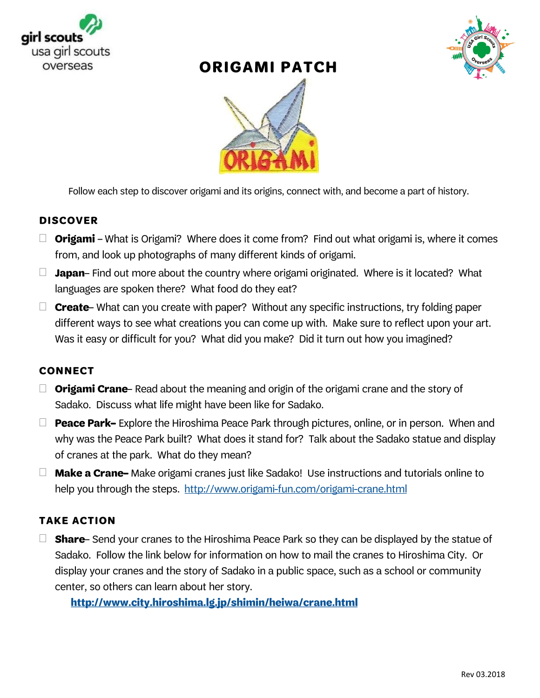

## **ORIGAMI PATCH**





Follow each step to discover origami and its origins, connect with, and become a part of history.

### **DISCOVER**

- $\Box$  **Origami** What is Origami? Where does it come from? Find out what origami is, where it comes from, and look up photographs of many different kinds of origami.
- $\Box$  Japan-Find out more about the country where origami originated. Where is it located? What languages are spoken there? What food do they eat?
- $\Box$  **Create** – What can you create with paper? Without any specific instructions, try folding paper different ways to see what creations you can come up with. Make sure to reflect upon your art. Was it easy or difficult for you? What did you make? Did it turn out how you imagined?

### **CONNECT**

- $\Box$  **Origami Crane** Read about the meaning and origin of the origami crane and the story of Sadako. Discuss what life might have been like for Sadako.
- $\Box$  **Peace Park-** Explore the Hiroshima Peace Park through pictures, online, or in person. When and why was the Peace Park built? What does it stand for? Talk about the Sadako statue and display of cranes at the park. What do they mean?
- $\Box$  **Make a Crane-** Make origami cranes just like Sadako! Use instructions and tutorials online to help you through the steps. http://www.origami-fun.com/origami-crane.html

### **TAKE ACTION**

 $\Box$  **Share** – Send your cranes to the Hiroshima Peace Park so they can be displayed by the statue of Sadako. Follow the link below for information on how to mail the cranes to Hiroshima City. Or display your cranes and the story of Sadako in a public space, such as a school or community center, so others can learn about her story.

http://www.city.hiroshima.lg.jp/shimin/heiwa/crane.html